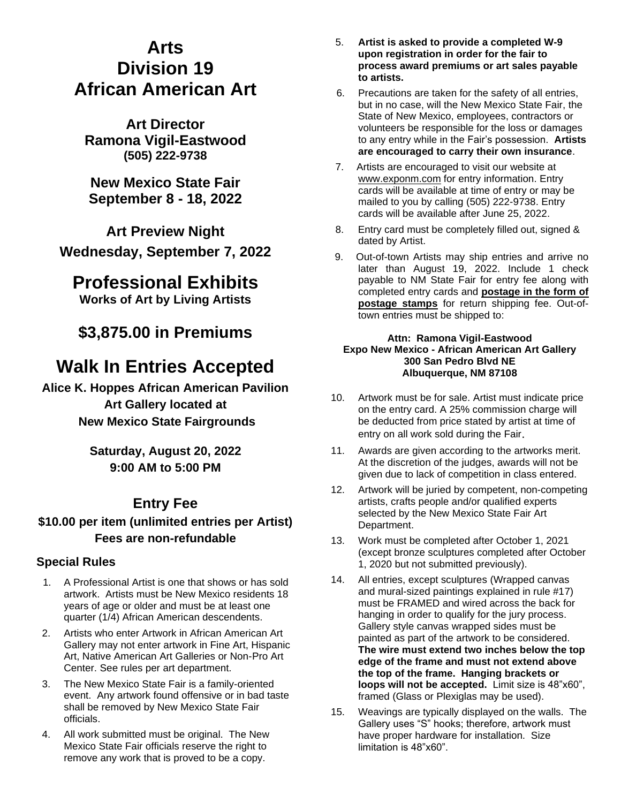# **Arts Division 19 African American Art**

**Art Director Ramona Vigil-Eastwood (505) 222-9738**

**New Mexico State Fair September 8 - 18, 2022**

**Art Preview Night Wednesday, September 7, 2022**

# **Professional Exhibits**

**Works of Art by Living Artists**

# **\$3,875.00 in Premiums**

# **Walk In Entries Accepted**

**Alice K. Hoppes African American Pavilion Art Gallery located at New Mexico State Fairgrounds**

> **Saturday, August 20, 2022 9:00 AM to 5:00 PM**

## **Entry Fee**

## **\$10.00 per item (unlimited entries per Artist) Fees are non-refundable**

## **Special Rules**

- 1. A Professional Artist is one that shows or has sold artwork. Artists must be New Mexico residents 18 years of age or older and must be at least one quarter (1/4) African American descendents.
- 2. Artists who enter Artwork in African American Art Gallery may not enter artwork in Fine Art, Hispanic Art, Native American Art Galleries or Non-Pro Art Center. See rules per art department.
- 3. The New Mexico State Fair is a family-oriented event. Any artwork found offensive or in bad taste shall be removed by New Mexico State Fair officials.
- 4. All work submitted must be original. The New Mexico State Fair officials reserve the right to remove any work that is proved to be a copy.
- 5. **Artist is asked to provide a completed W-9 upon registration in order for the fair to process award premiums or art sales payable to artists.**
- 6. Precautions are taken for the safety of all entries, but in no case, will the New Mexico State Fair, the State of New Mexico, employees, contractors or volunteers be responsible for the loss or damages to any entry while in the Fair's possession. **Artists are encouraged to carry their own insurance**.
- 7. Artists are encouraged to visit our website at [www.exponm.com](http://www.exponm.com/) for entry information. Entry cards will be available at time of entry or may be mailed to you by calling (505) 222-9738. Entry cards will be available after June 25, 2022.
- 8. Entry card must be completely filled out, signed & dated by Artist.
- 9. Out-of-town Artists may ship entries and arrive no later than August 19, 2022. Include 1 check payable to NM State Fair for entry fee along with completed entry cards and **postage in the form of postage stamps** for return shipping fee. Out-oftown entries must be shipped to:

#### **Attn: Ramona Vigil-Eastwood Expo New Mexico - African American Art Gallery 300 San Pedro Blvd NE Albuquerque, NM 87108**

- 10. Artwork must be for sale. Artist must indicate price on the entry card. A 25% commission charge will be deducted from price stated by artist at time of entry on all work sold during the Fair.
- 11. Awards are given according to the artworks merit. At the discretion of the judges, awards will not be given due to lack of competition in class entered.
- 12. Artwork will be juried by competent, non-competing artists, crafts people and/or qualified experts selected by the New Mexico State Fair Art Department.
- 13. Work must be completed after October 1, 2021 (except bronze sculptures completed after October 1, 2020 but not submitted previously).
- 14. All entries, except sculptures (Wrapped canvas and mural-sized paintings explained in rule #17) must be FRAMED and wired across the back for hanging in order to qualify for the jury process. Gallery style canvas wrapped sides must be painted as part of the artwork to be considered. **The wire must extend two inches below the top edge of the frame and must not extend above the top of the frame. Hanging brackets or loops will not be accepted.** Limit size is 48"x60", framed (Glass or Plexiglas may be used).
- 15. Weavings are typically displayed on the walls. The Gallery uses "S" hooks; therefore, artwork must have proper hardware for installation. Size limitation is 48"x60".